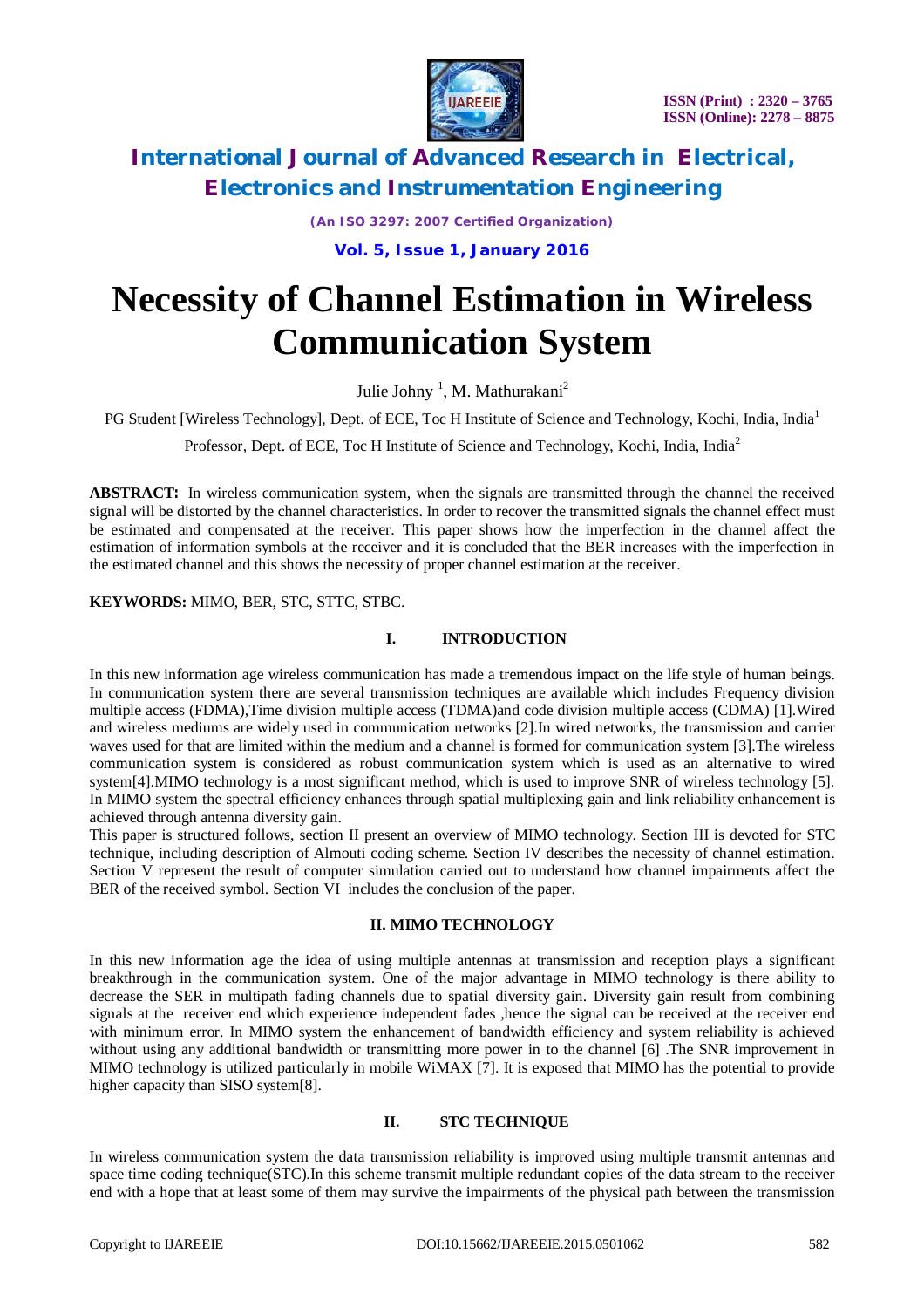

*(An ISO 3297: 2007 Certified Organization)* **Vol. 5, Issue 1, January 2016**

# **Necessity of Channel Estimation in Wireless Communication System**

Julie Johny<sup>1</sup>, M. Mathurakani<sup>2</sup>

PG Student [Wireless Technology], Dept. of ECE, Toc H Institute of Science and Technology, Kochi, India, India<sup>1</sup>

Professor, Dept. of ECE, Toc H Institute of Science and Technology, Kochi, India, India<sup>2</sup>

**ABSTRACT:** In wireless communication system, when the signals are transmitted through the channel the received signal will be distorted by the channel characteristics. In order to recover the transmitted signals the channel effect must be estimated and compensated at the receiver. This paper shows how the imperfection in the channel affect the estimation of information symbols at the receiver and it is concluded that the BER increases with the imperfection in the estimated channel and this shows the necessity of proper channel estimation at the receiver.

**KEYWORDS:** MIMO, BER, STC, STTC, STBC.

### **I. INTRODUCTION**

In this new information age wireless communication has made a tremendous impact on the life style of human beings. In communication system there are several transmission techniques are available which includes Frequency division multiple access (FDMA),Time division multiple access (TDMA)and code division multiple access (CDMA) [1].Wired and wireless mediums are widely used in communication networks [2].In wired networks, the transmission and carrier waves used for that are limited within the medium and a channel is formed for communication system [3].The wireless communication system is considered as robust communication system which is used as an alternative to wired system[4].MIMO technology is a most significant method, which is used to improve SNR of wireless technology [5]. In MIMO system the spectral efficiency enhances through spatial multiplexing gain and link reliability enhancement is achieved through antenna diversity gain.

This paper is structured follows, section II present an overview of MIMO technology. Section III is devoted for STC technique, including description of Almouti coding scheme. Section IV describes the necessity of channel estimation. Section V represent the result of computer simulation carried out to understand how channel impairments affect the BER of the received symbol. Section VI includes the conclusion of the paper.

### **II. MIMO TECHNOLOGY**

In this new information age the idea of using multiple antennas at transmission and reception plays a significant breakthrough in the communication system. One of the major advantage in MIMO technology is there ability to decrease the SER in multipath fading channels due to spatial diversity gain. Diversity gain result from combining signals at the receiver end which experience independent fades ,hence the signal can be received at the receiver end with minimum error. In MIMO system the enhancement of bandwidth efficiency and system reliability is achieved without using any additional bandwidth or transmitting more power in to the channel [6]. The SNR improvement in MIMO technology is utilized particularly in mobile WiMAX [7]. It is exposed that MIMO has the potential to provide higher capacity than SISO system[8].

#### **II. STC TECHNIQUE**

In wireless communication system the data transmission reliability is improved using multiple transmit antennas and space time coding technique(STC).In this scheme transmit multiple redundant copies of the data stream to the receiver end with a hope that at least some of them may survive the impairments of the physical path between the transmission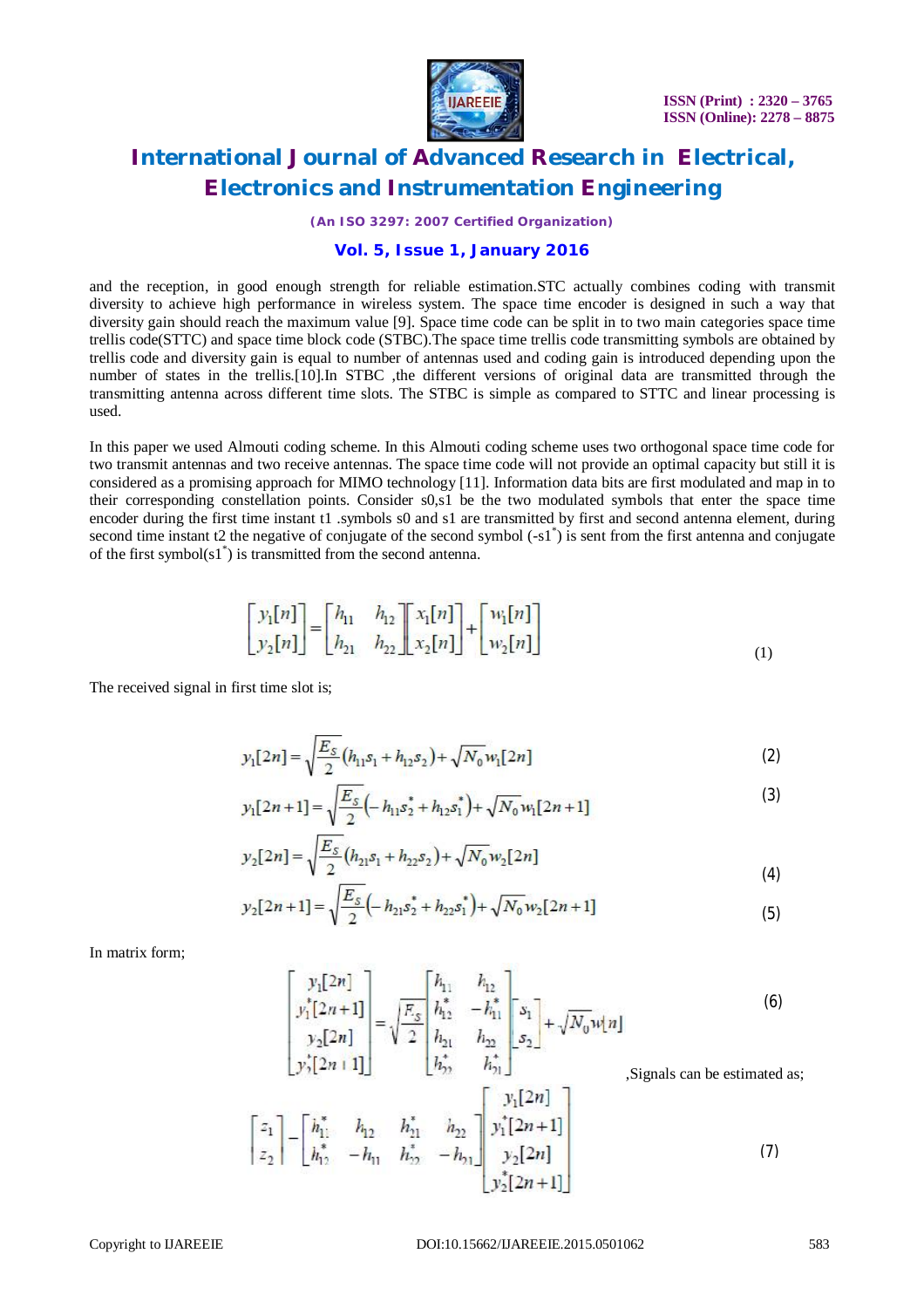

*(An ISO 3297: 2007 Certified Organization)*

### **Vol. 5, Issue 1, January 2016**

and the reception, in good enough strength for reliable estimation.STC actually combines coding with transmit diversity to achieve high performance in wireless system. The space time encoder is designed in such a way that diversity gain should reach the maximum value [9]. Space time code can be split in to two main categories space time trellis code(STTC) and space time block code (STBC).The space time trellis code transmitting symbols are obtained by trellis code and diversity gain is equal to number of antennas used and coding gain is introduced depending upon the number of states in the trellis.[10].In STBC ,the different versions of original data are transmitted through the transmitting antenna across different time slots. The STBC is simple as compared to STTC and linear processing is used.

In this paper we used Almouti coding scheme. In this Almouti coding scheme uses two orthogonal space time code for two transmit antennas and two receive antennas. The space time code will not provide an optimal capacity but still it is considered as a promising approach for MIMO technology [11]. Information data bits are first modulated and map in to their corresponding constellation points. Consider s0,s1 be the two modulated symbols that enter the space time encoder during the first time instant t1 .symbols s0 and s1 are transmitted by first and second antenna element, during second time instant t2 the negative of conjugate of the second symbol  $(-s1^*)$  is sent from the first antenna and conjugate of the first symbol $(s1^*)$  is transmitted from the second antenna.

$$
\begin{bmatrix} y_1[n] \\ y_2[n] \end{bmatrix} = \begin{bmatrix} h_{11} & h_{12} \\ h_{21} & h_{22} \end{bmatrix} \begin{bmatrix} x_1[n] \\ x_2[n] \end{bmatrix} + \begin{bmatrix} w_1[n] \\ w_2[n] \end{bmatrix}
$$
 (1)

The received signal in first time slot is;

$$
y_1[2n] = \sqrt{\frac{E_S}{2}} (h_{11} s_1 + h_{12} s_2) + \sqrt{N_0} w_1[2n]
$$
 (2)

$$
y_1[2n+1] = \sqrt{\frac{E_s}{2}} \left(-h_{11} s_2^* + h_{12} s_1^*\right) + \sqrt{N_0} w_1[2n+1] \tag{3}
$$

$$
y_2[2n] = \sqrt{\frac{E_S}{2}} (h_{21}s_1 + h_{22}s_2) + \sqrt{N_0} w_2[2n]
$$
\n(4)

$$
y_2[2n+1] = \sqrt{\frac{E_S}{2}} \left(-h_{21} s_2^* + h_{22} s_1^*\right) + \sqrt{N_0} w_2[2n+1] \tag{5}
$$

In matrix form;

$$
\begin{bmatrix} y_1[2n] \\ y_1^*[2n+1] \\ y_2[2n] \\ y_2^*[2n+1] \end{bmatrix} = \sqrt{\frac{E_s}{2}} \begin{bmatrix} h_{11} & h_{12} \\ h_{12}^* & -h_{11}^* \\ h_{21} & h_{22} \\ h_{22}^* & h_{22}^* \end{bmatrix} + \sqrt{N_0} \mathbf{w}[n] \tag{6}
$$
\n
$$
\text{Signals can be estimated as;}
$$

$$
\begin{bmatrix} z_1 \\ z_2 \end{bmatrix} - \begin{bmatrix} h_{11}^* & h_{12} & h_{11}^* & h_{22} \\ h_{12}^* & -h_{11} & h_{22}^* & -h_{21} \end{bmatrix} \begin{bmatrix} y_1^*[2n] \\ y_1^*[2n+1] \\ y_2^*[2n] \\ y_2^*[2n+1] \end{bmatrix}
$$
(7)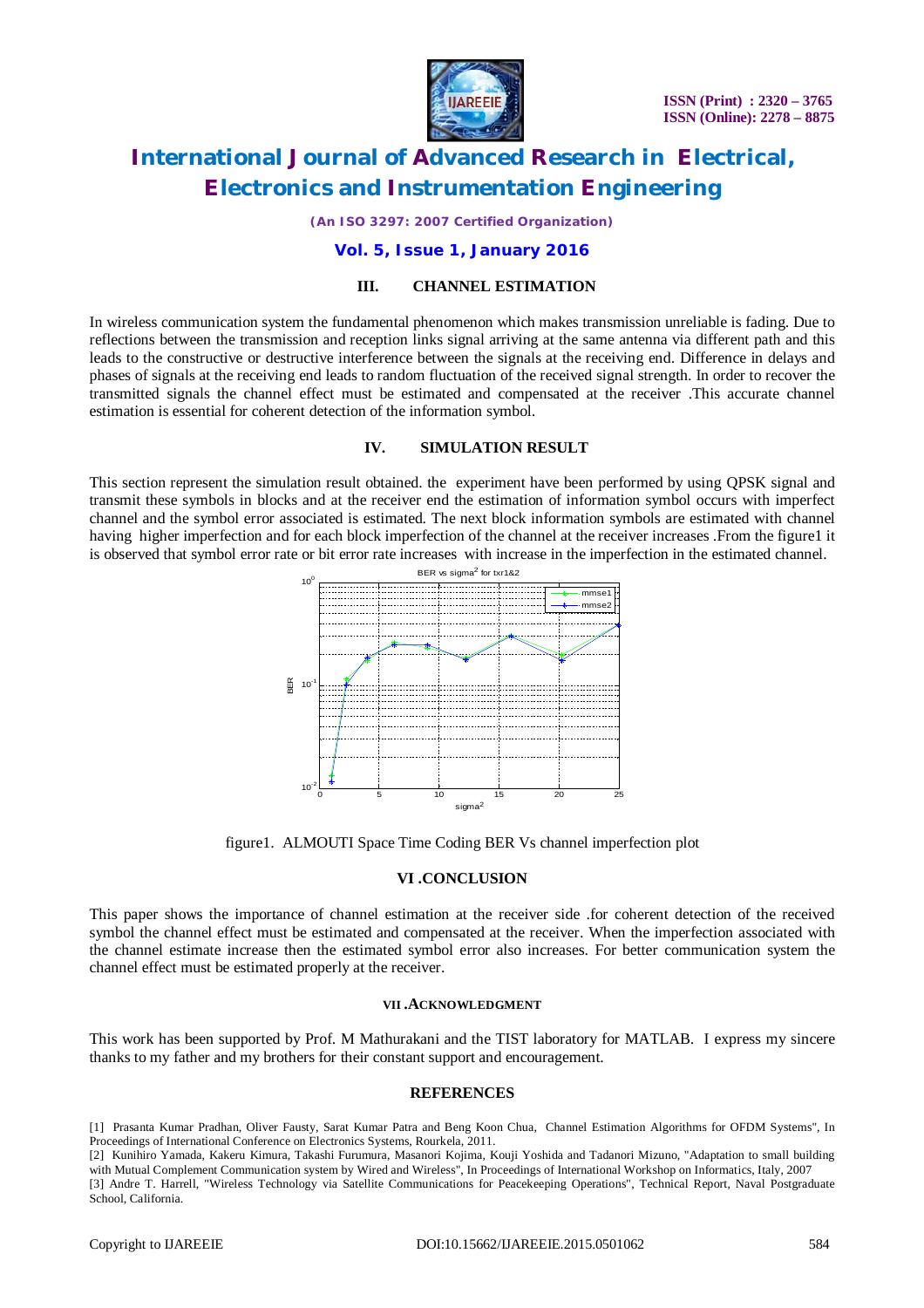

*(An ISO 3297: 2007 Certified Organization)*

### **Vol. 5, Issue 1, January 2016**

#### **III. CHANNEL ESTIMATION**

In wireless communication system the fundamental phenomenon which makes transmission unreliable is fading. Due to reflections between the transmission and reception links signal arriving at the same antenna via different path and this leads to the constructive or destructive interference between the signals at the receiving end. Difference in delays and phases of signals at the receiving end leads to random fluctuation of the received signal strength. In order to recover the transmitted signals the channel effect must be estimated and compensated at the receiver .This accurate channel estimation is essential for coherent detection of the information symbol.

#### **IV. SIMULATION RESULT**

This section represent the simulation result obtained. the experiment have been performed by using QPSK signal and transmit these symbols in blocks and at the receiver end the estimation of information symbol occurs with imperfect channel and the symbol error associated is estimated. The next block information symbols are estimated with channel having higher imperfection and for each block imperfection of the channel at the receiver increases .From the figure1 it is observed that symbol error rate or bit error rate increases with increase in the imperfection in the estimated channel.



figure1. ALMOUTI Space Time Coding BER Vs channel imperfection plot

#### **VI .CONCLUSION**

This paper shows the importance of channel estimation at the receiver side .for coherent detection of the received symbol the channel effect must be estimated and compensated at the receiver. When the imperfection associated with the channel estimate increase then the estimated symbol error also increases. For better communication system the channel effect must be estimated properly at the receiver.

#### **VII .ACKNOWLEDGMENT**

This work has been supported by Prof. M Mathurakani and the TIST laboratory for MATLAB. I express my sincere thanks to my father and my brothers for their constant support and encouragement.

#### **REFERENCES**

[1] Prasanta Kumar Pradhan, Oliver Fausty, Sarat Kumar Patra and Beng Koon Chua, Channel Estimation Algorithms for OFDM Systems", In Proceedings of International Conference on Electronics Systems, Rourkela, 2011.

[2] Kunihiro Yamada, Kakeru Kimura, Takashi Furumura, Masanori Kojima, Kouji Yoshida and Tadanori Mizuno, "Adaptation to small building with Mutual Complement Communication system by Wired and Wireless", In Proceedings of International Workshop on Informatics, Italy, 2007 [3] Andre T. Harrell, "Wireless Technology via Satellite Communications for Peacekeeping Operations", Technical Report, Naval Postgraduate School, California.